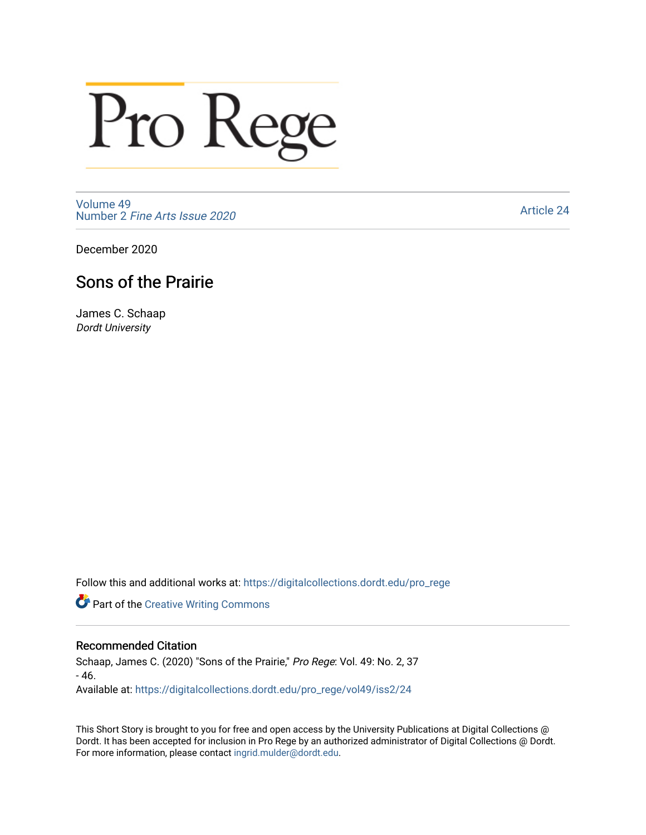# Pro Rege

[Volume 49](https://digitalcollections.dordt.edu/pro_rege/vol49) Number 2 [Fine Arts Issue 2020](https://digitalcollections.dordt.edu/pro_rege/vol49/iss2) 

[Article 24](https://digitalcollections.dordt.edu/pro_rege/vol49/iss2/24) 

December 2020

### Sons of the Prairie

James C. Schaap Dordt University

Follow this and additional works at: [https://digitalcollections.dordt.edu/pro\\_rege](https://digitalcollections.dordt.edu/pro_rege?utm_source=digitalcollections.dordt.edu%2Fpro_rege%2Fvol49%2Fiss2%2F24&utm_medium=PDF&utm_campaign=PDFCoverPages) 

**Part of the Creative Writing Commons** 

#### Recommended Citation

Schaap, James C. (2020) "Sons of the Prairie," Pro Rege: Vol. 49: No. 2, 37 - 46. Available at: [https://digitalcollections.dordt.edu/pro\\_rege/vol49/iss2/24](https://digitalcollections.dordt.edu/pro_rege/vol49/iss2/24?utm_source=digitalcollections.dordt.edu%2Fpro_rege%2Fvol49%2Fiss2%2F24&utm_medium=PDF&utm_campaign=PDFCoverPages)

This Short Story is brought to you for free and open access by the University Publications at Digital Collections @ Dordt. It has been accepted for inclusion in Pro Rege by an authorized administrator of Digital Collections @ Dordt. For more information, please contact [ingrid.mulder@dordt.edu](mailto:ingrid.mulder@dordt.edu).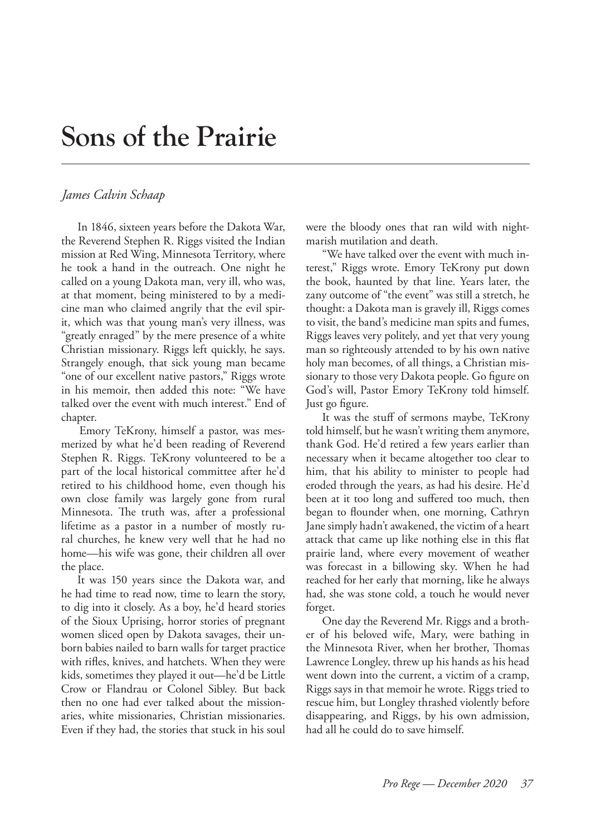## **Sons of the Prairie**

#### *James Calvin Schaap*

In 1846, sixteen years before the Dakota War, the Reverend Stephen R. Riggs visited the Indian mission at Red Wing, Minnesota Territory, where he took a hand in the outreach. One night he called on a young Dakota man, very ill, who was, at that moment, being ministered to by a medicine man who claimed angrily that the evil spirit, which was that young man's very illness, was "greatly enraged" by the mere presence of a white Christian missionary. Riggs left quickly, he says. Strangely enough, that sick young man became "one of our excellent native pastors," Riggs wrote in his memoir, then added this note: "We have talked over the event with much interest." End of chapter.

Emory TeKrony, himself a pastor, was mesmerized by what he'd been reading of Reverend Stephen R. Riggs. TeKrony volunteered to be a part of the local historical committee after he'd retired to his childhood home, even though his own close family was largely gone from rural Minnesota. The truth was, after a professional lifetime as a pastor in a number of mostly rural churches, he knew very well that he had no home—his wife was gone, their children all over the place.

It was 150 years since the Dakota war, and he had time to read now, time to learn the story, to dig into it closely. As a boy, he'd heard stories of the Sioux Uprising, horror stories of pregnant women sliced open by Dakota savages, their unborn babies nailed to barn walls for target practice with rifles, knives, and hatchets. When they were kids, sometimes they played it out—he'd be Little Crow or Flandrau or Colonel Sibley. But back then no one had ever talked about the missionaries, white missionaries, Christian missionaries. Even if they had, the stories that stuck in his soul were the bloody ones that ran wild with nightmarish mutilation and death.

"We have talked over the event with much interest," Riggs wrote. Emory TeKrony put down the book, haunted by that line. Years later, the zany outcome of "the event" was still a stretch, he thought: a Dakota man is gravely ill, Riggs comes to visit, the band's medicine man spits and fumes, Riggs leaves very politely, and yet that very young man so righteously attended to by his own native holy man becomes, of all things, a Christian missionary to those very Dakota people. Go figure on God's will, Pastor Emory TeKrony told himself. Just go figure.

It was the stuff of sermons maybe, TeKrony told himself, but he wasn't writing them anymore, thank God. He'd retired a few years earlier than necessary when it became altogether too clear to him, that his ability to minister to people had eroded through the years, as had his desire. He'd been at it too long and suffered too much, then began to flounder when, one morning, Cathryn Jane simply hadn't awakened, the victim of a heart attack that came up like nothing else in this flat prairie land, where every movement of weather was forecast in a billowing sky. When he had reached for her early that morning, like he always had, she was stone cold, a touch he would never forget.

One day the Reverend Mr. Riggs and a brother of his beloved wife, Mary, were bathing in the Minnesota River, when her brother, Thomas Lawrence Longley, threw up his hands as his head went down into the current, a victim of a cramp, Riggs says in that memoir he wrote. Riggs tried to rescue him, but Longley thrashed violently before disappearing, and Riggs, by his own admission, had all he could do to save himself.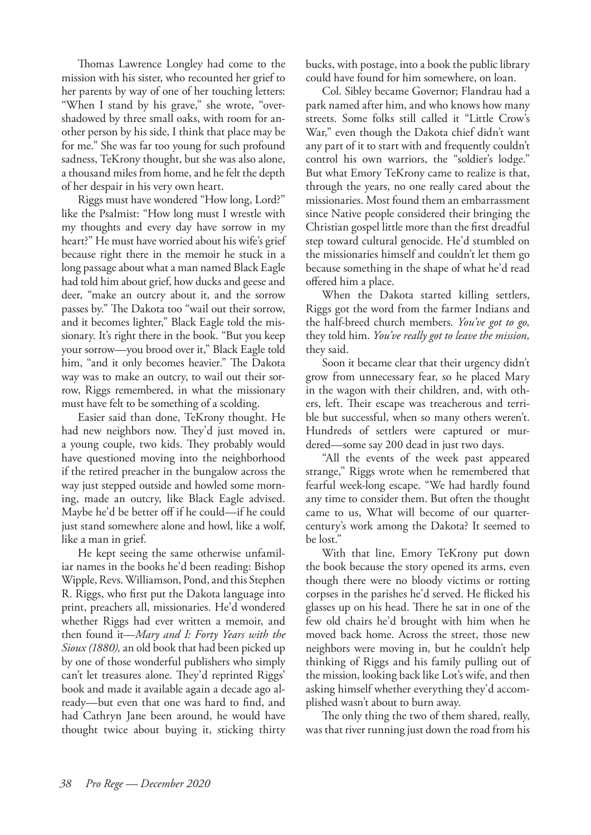Thomas Lawrence Longley had come to the mission with his sister, who recounted her grief to her parents by way of one of her touching letters: "When I stand by his grave," she wrote, "overshadowed by three small oaks, with room for another person by his side, I think that place may be for me." She was far too young for such profound sadness, TeKrony thought, but she was also alone, a thousand miles from home, and he felt the depth of her despair in his very own heart.

Riggs must have wondered "How long, Lord?" like the Psalmist: "How long must I wrestle with my thoughts and every day have sorrow in my heart?" He must have worried about his wife's grief because right there in the memoir he stuck in a long passage about what a man named Black Eagle had told him about grief, how ducks and geese and deer, "make an outcry about it, and the sorrow passes by." The Dakota too "wail out their sorrow, and it becomes lighter," Black Eagle told the missionary. It's right there in the book. "But you keep your sorrow—you brood over it," Black Eagle told him, "and it only becomes heavier." The Dakota way was to make an outcry, to wail out their sorrow, Riggs remembered, in what the missionary must have felt to be something of a scolding.

Easier said than done, TeKrony thought. He had new neighbors now. They'd just moved in, a young couple, two kids. They probably would have questioned moving into the neighborhood if the retired preacher in the bungalow across the way just stepped outside and howled some morning, made an outcry, like Black Eagle advised. Maybe he'd be better off if he could—if he could just stand somewhere alone and howl, like a wolf, like a man in grief.

He kept seeing the same otherwise unfamiliar names in the books he'd been reading: Bishop Wipple, Revs. Williamson, Pond, and this Stephen R. Riggs, who first put the Dakota language into print, preachers all, missionaries. He'd wondered whether Riggs had ever written a memoir, and then found it—*Mary and I: Forty Years with the Sioux (1880),* an old book that had been picked up by one of those wonderful publishers who simply can't let treasures alone. They'd reprinted Riggs' book and made it available again a decade ago already—but even that one was hard to find, and had Cathryn Jane been around, he would have thought twice about buying it, sticking thirty bucks, with postage, into a book the public library could have found for him somewhere, on loan.

Col. Sibley became Governor; Flandrau had a park named after him, and who knows how many streets. Some folks still called it "Little Crow's War," even though the Dakota chief didn't want any part of it to start with and frequently couldn't control his own warriors, the "soldier's lodge." But what Emory TeKrony came to realize is that, through the years, no one really cared about the missionaries. Most found them an embarrassment since Native people considered their bringing the Christian gospel little more than the first dreadful step toward cultural genocide. He'd stumbled on the missionaries himself and couldn't let them go because something in the shape of what he'd read offered him a place.

When the Dakota started killing settlers, Riggs got the word from the farmer Indians and the half-breed church members. *You've got to go,*  they told him. *You've really got to leave the mission,*  they said.

Soon it became clear that their urgency didn't grow from unnecessary fear, so he placed Mary in the wagon with their children, and, with others, left. Their escape was treacherous and terrible but successful, when so many others weren't. Hundreds of settlers were captured or murdered—some say 200 dead in just two days.

"All the events of the week past appeared strange," Riggs wrote when he remembered that fearful week-long escape. "We had hardly found any time to consider them. But often the thought came to us, What will become of our quartercentury's work among the Dakota? It seemed to be lost."

With that line, Emory TeKrony put down the book because the story opened its arms, even though there were no bloody victims or rotting corpses in the parishes he'd served. He flicked his glasses up on his head. There he sat in one of the few old chairs he'd brought with him when he moved back home. Across the street, those new neighbors were moving in, but he couldn't help thinking of Riggs and his family pulling out of the mission, looking back like Lot's wife, and then asking himself whether everything they'd accomplished wasn't about to burn away.

The only thing the two of them shared, really, was that river running just down the road from his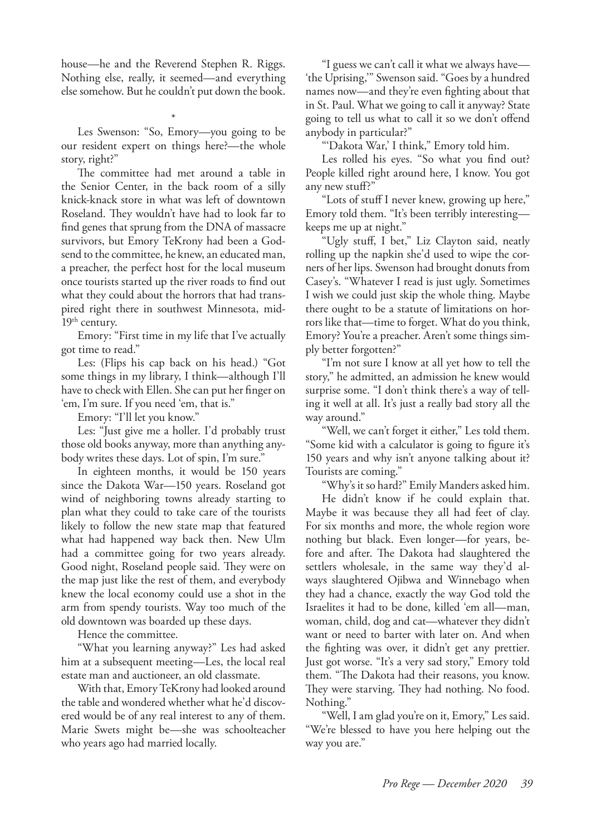house—he and the Reverend Stephen R. Riggs. Nothing else, really, it seemed—and everything else somehow. But he couldn't put down the book.

\* Les Swenson: "So, Emory—you going to be our resident expert on things here?—the whole story, right?"

The committee had met around a table in the Senior Center, in the back room of a silly knick-knack store in what was left of downtown Roseland. They wouldn't have had to look far to find genes that sprung from the DNA of massacre survivors, but Emory TeKrony had been a Godsend to the committee, he knew, an educated man, a preacher, the perfect host for the local museum once tourists started up the river roads to find out what they could about the horrors that had transpired right there in southwest Minnesota, mid- $19<sup>th</sup>$  century.

Emory: "First time in my life that I've actually got time to read."

Les: (Flips his cap back on his head.) "Got some things in my library, I think—although I'll have to check with Ellen. She can put her finger on 'em, I'm sure. If you need 'em, that is."

Emory: "I'll let you know."

Les: "Just give me a holler. I'd probably trust those old books anyway, more than anything anybody writes these days. Lot of spin, I'm sure."

In eighteen months, it would be 150 years since the Dakota War—150 years. Roseland got wind of neighboring towns already starting to plan what they could to take care of the tourists likely to follow the new state map that featured what had happened way back then. New Ulm had a committee going for two years already. Good night, Roseland people said. They were on the map just like the rest of them, and everybody knew the local economy could use a shot in the arm from spendy tourists. Way too much of the old downtown was boarded up these days.

Hence the committee.

"What you learning anyway?" Les had asked him at a subsequent meeting—Les, the local real estate man and auctioneer, an old classmate.

With that, Emory TeKrony had looked around the table and wondered whether what he'd discovered would be of any real interest to any of them. Marie Swets might be—she was schoolteacher who years ago had married locally.

"I guess we can't call it what we always have— 'the Uprising,'" Swenson said. "Goes by a hundred names now—and they're even fighting about that in St. Paul. What we going to call it anyway? State going to tell us what to call it so we don't offend anybody in particular?"

"'Dakota War,' I think," Emory told him.

Les rolled his eyes. "So what you find out? People killed right around here, I know. You got any new stuff?"

"Lots of stuff I never knew, growing up here," Emory told them. "It's been terribly interesting keeps me up at night."

"Ugly stuff, I bet," Liz Clayton said, neatly rolling up the napkin she'd used to wipe the corners of her lips. Swenson had brought donuts from Casey's. "Whatever I read is just ugly. Sometimes I wish we could just skip the whole thing. Maybe there ought to be a statute of limitations on horrors like that—time to forget. What do you think, Emory? You're a preacher. Aren't some things simply better forgotten?"

"I'm not sure I know at all yet how to tell the story," he admitted, an admission he knew would surprise some. "I don't think there's a way of telling it well at all. It's just a really bad story all the way around."

"Well, we can't forget it either," Les told them. "Some kid with a calculator is going to figure it's 150 years and why isn't anyone talking about it? Tourists are coming."

"Why's it so hard?" Emily Manders asked him.

He didn't know if he could explain that. Maybe it was because they all had feet of clay. For six months and more, the whole region wore nothing but black. Even longer—for years, before and after. The Dakota had slaughtered the settlers wholesale, in the same way they'd always slaughtered Ojibwa and Winnebago when they had a chance, exactly the way God told the Israelites it had to be done, killed 'em all—man, woman, child, dog and cat—whatever they didn't want or need to barter with later on. And when the fighting was over, it didn't get any prettier. Just got worse. "It's a very sad story," Emory told them. "The Dakota had their reasons, you know. They were starving. They had nothing. No food. Nothing."

"Well, I am glad you're on it, Emory," Les said. "We're blessed to have you here helping out the way you are."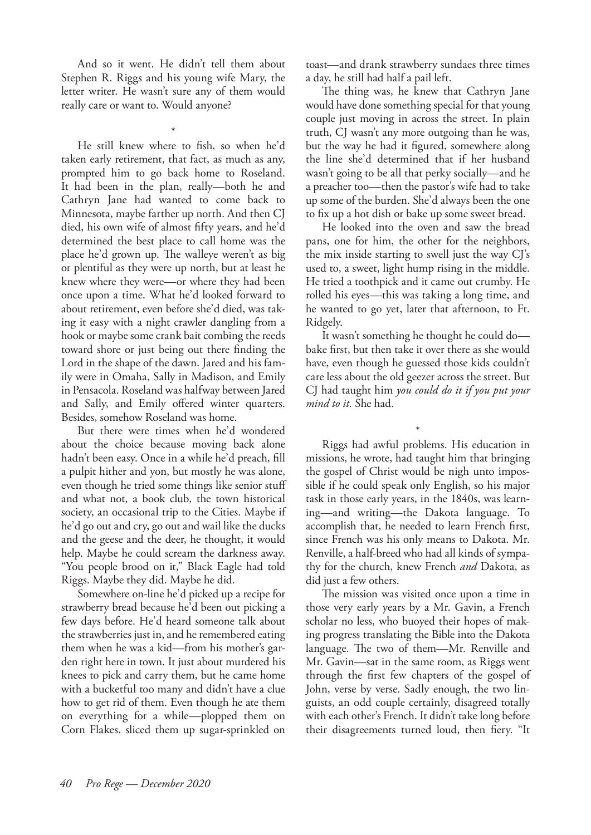And so it went. He didn't tell them about Stephen R. Riggs and his young wife Mary, the letter writer. He wasn't sure any of them would really care or want to. Would anyone?

\*

He still knew where to fish, so when he'd taken early retirement, that fact, as much as any, prompted him to go back home to Roseland. It had been in the plan, really—both he and Cathryn Jane had wanted to come back to Minnesota, maybe farther up north. And then CJ died, his own wife of almost fifty years, and he'd determined the best place to call home was the place he'd grown up. The walleye weren't as big or plentiful as they were up north, but at least he knew where they were—or where they had been once upon a time. What he'd looked forward to about retirement, even before she'd died, was taking it easy with a night crawler dangling from a hook or maybe some crank bait combing the reeds toward shore or just being out there finding the Lord in the shape of the dawn. Jared and his family were in Omaha, Sally in Madison, and Emily in Pensacola. Roseland was halfway between Jared and Sally, and Emily offered winter quarters. Besides, somehow Roseland was home.

But there were times when he'd wondered about the choice because moving back alone hadn't been easy. Once in a while he'd preach, fill a pulpit hither and yon, but mostly he was alone, even though he tried some things like senior stuff and what not, a book club, the town historical society, an occasional trip to the Cities. Maybe if he'd go out and cry, go out and wail like the ducks and the geese and the deer, he thought, it would help. Maybe he could scream the darkness away. "You people brood on it," Black Eagle had told Riggs. Maybe they did. Maybe he did.

Somewhere on-line he'd picked up a recipe for strawberry bread because he'd been out picking a few days before. He'd heard someone talk about the strawberries just in, and he remembered eating them when he was a kid—from his mother's garden right here in town. It just about murdered his knees to pick and carry them, but he came home with a bucketful too many and didn't have a clue how to get rid of them. Even though he ate them on everything for a while—plopped them on Corn Flakes, sliced them up sugar-sprinkled on

toast—and drank strawberry sundaes three times a day, he still had half a pail left.

The thing was, he knew that Cathryn Jane would have done something special for that young couple just moving in across the street. In plain truth, CJ wasn't any more outgoing than he was, but the way he had it figured, somewhere along the line she'd determined that if her husband wasn't going to be all that perky socially—and he a preacher too—then the pastor's wife had to take up some of the burden. She'd always been the one to fix up a hot dish or bake up some sweet bread.

He looked into the oven and saw the bread pans, one for him, the other for the neighbors, the mix inside starting to swell just the way CJ's used to, a sweet, light hump rising in the middle. He tried a toothpick and it came out crumby. He rolled his eyes—this was taking a long time, and he wanted to go yet, later that afternoon, to Ft. Ridgely.

It wasn't something he thought he could do bake first, but then take it over there as she would have, even though he guessed those kids couldn't care less about the old geezer across the street. But CJ had taught him *you could do it if you put your mind to it.* She had.

\* Riggs had awful problems. His education in missions, he wrote, had taught him that bringing the gospel of Christ would be nigh unto impossible if he could speak only English, so his major task in those early years, in the 1840s, was learning—and writing—the Dakota language. To accomplish that, he needed to learn French first, since French was his only means to Dakota. Mr. Renville, a half-breed who had all kinds of sympathy for the church, knew French *and* Dakota, as did just a few others.

The mission was visited once upon a time in those very early years by a Mr. Gavin, a French scholar no less, who buoyed their hopes of making progress translating the Bible into the Dakota language. The two of them—Mr. Renville and Mr. Gavin—sat in the same room, as Riggs went through the first few chapters of the gospel of John, verse by verse. Sadly enough, the two linguists, an odd couple certainly, disagreed totally with each other's French. It didn't take long before their disagreements turned loud, then fiery. "It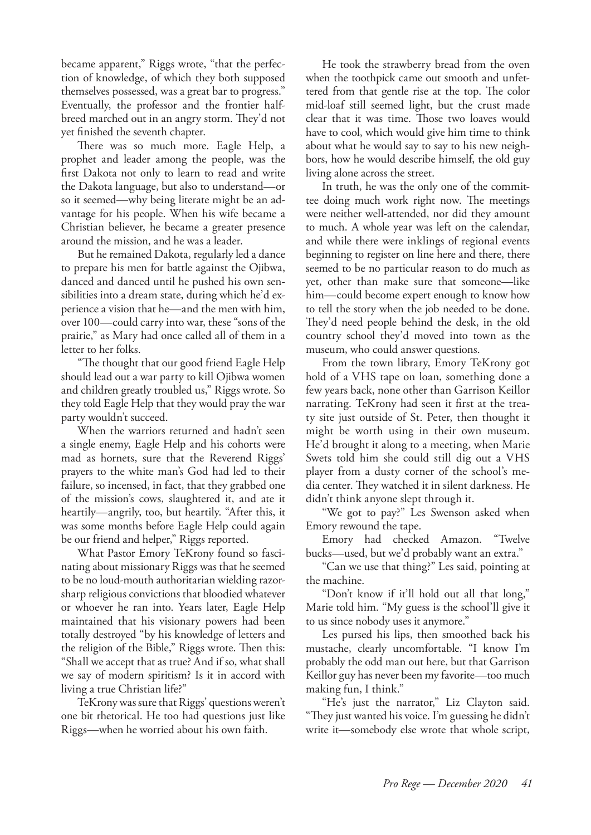became apparent," Riggs wrote, "that the perfection of knowledge, of which they both supposed themselves possessed, was a great bar to progress." Eventually, the professor and the frontier halfbreed marched out in an angry storm. They'd not yet finished the seventh chapter.

There was so much more. Eagle Help, a prophet and leader among the people, was the first Dakota not only to learn to read and write the Dakota language, but also to understand—or so it seemed—why being literate might be an advantage for his people. When his wife became a Christian believer, he became a greater presence around the mission, and he was a leader.

But he remained Dakota, regularly led a dance to prepare his men for battle against the Ojibwa, danced and danced until he pushed his own sensibilities into a dream state, during which he'd experience a vision that he—and the men with him, over 100—could carry into war, these "sons of the prairie," as Mary had once called all of them in a letter to her folks.

"The thought that our good friend Eagle Help should lead out a war party to kill Ojibwa women and children greatly troubled us," Riggs wrote. So they told Eagle Help that they would pray the war party wouldn't succeed.

When the warriors returned and hadn't seen a single enemy, Eagle Help and his cohorts were mad as hornets, sure that the Reverend Riggs' prayers to the white man's God had led to their failure, so incensed, in fact, that they grabbed one of the mission's cows, slaughtered it, and ate it heartily—angrily, too, but heartily. "After this, it was some months before Eagle Help could again be our friend and helper," Riggs reported.

What Pastor Emory TeKrony found so fascinating about missionary Riggs was that he seemed to be no loud-mouth authoritarian wielding razorsharp religious convictions that bloodied whatever or whoever he ran into. Years later, Eagle Help maintained that his visionary powers had been totally destroyed "by his knowledge of letters and the religion of the Bible," Riggs wrote. Then this: "Shall we accept that as true? And if so, what shall we say of modern spiritism? Is it in accord with living a true Christian life?"

TeKrony was sure that Riggs' questions weren't one bit rhetorical. He too had questions just like Riggs—when he worried about his own faith.

He took the strawberry bread from the oven when the toothpick came out smooth and unfettered from that gentle rise at the top. The color mid-loaf still seemed light, but the crust made clear that it was time. Those two loaves would have to cool, which would give him time to think about what he would say to say to his new neighbors, how he would describe himself, the old guy living alone across the street.

In truth, he was the only one of the committee doing much work right now. The meetings were neither well-attended, nor did they amount to much. A whole year was left on the calendar, and while there were inklings of regional events beginning to register on line here and there, there seemed to be no particular reason to do much as yet, other than make sure that someone—like him—could become expert enough to know how to tell the story when the job needed to be done. They'd need people behind the desk, in the old country school they'd moved into town as the museum, who could answer questions.

From the town library, Emory TeKrony got hold of a VHS tape on loan, something done a few years back, none other than Garrison Keillor narrating. TeKrony had seen it first at the treaty site just outside of St. Peter, then thought it might be worth using in their own museum. He'd brought it along to a meeting, when Marie Swets told him she could still dig out a VHS player from a dusty corner of the school's media center. They watched it in silent darkness. He didn't think anyone slept through it.

"We got to pay?" Les Swenson asked when Emory rewound the tape.

Emory had checked Amazon. "Twelve bucks—used, but we'd probably want an extra."

"Can we use that thing?" Les said, pointing at the machine.

"Don't know if it'll hold out all that long," Marie told him. "My guess is the school'll give it to us since nobody uses it anymore."

Les pursed his lips, then smoothed back his mustache, clearly uncomfortable. "I know I'm probably the odd man out here, but that Garrison Keillor guy has never been my favorite—too much making fun, I think."

"He's just the narrator," Liz Clayton said. "They just wanted his voice. I'm guessing he didn't write it—somebody else wrote that whole script,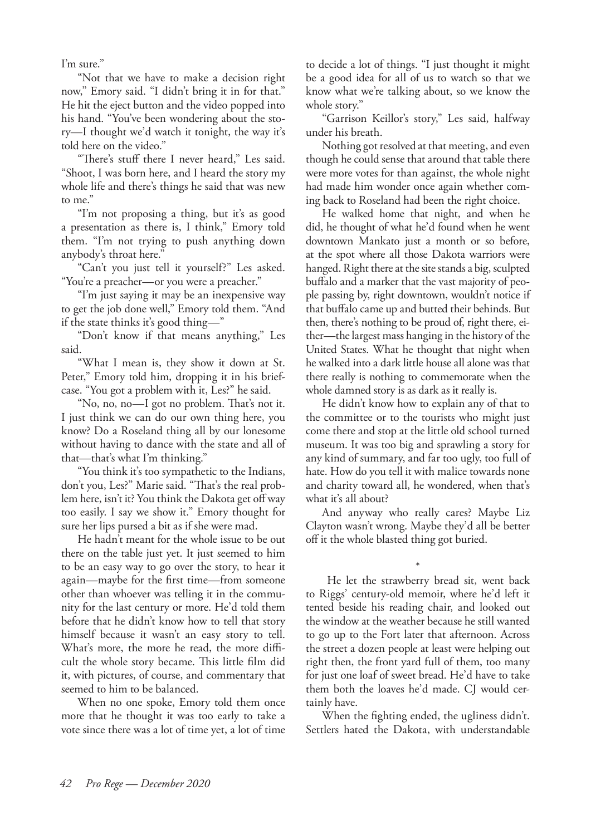I'm sure."

"Not that we have to make a decision right now," Emory said. "I didn't bring it in for that." He hit the eject button and the video popped into his hand. "You've been wondering about the story—I thought we'd watch it tonight, the way it's told here on the video."

"There's stuff there I never heard," Les said. "Shoot, I was born here, and I heard the story my whole life and there's things he said that was new to me."

"I'm not proposing a thing, but it's as good a presentation as there is, I think," Emory told them. "I'm not trying to push anything down anybody's throat here."

"Can't you just tell it yourself?" Les asked. "You're a preacher—or you were a preacher."

"I'm just saying it may be an inexpensive way to get the job done well," Emory told them. "And if the state thinks it's good thing—"

"Don't know if that means anything," Les said.

"What I mean is, they show it down at St. Peter," Emory told him, dropping it in his briefcase. "You got a problem with it, Les?" he said.

"No, no, no—I got no problem. That's not it. I just think we can do our own thing here, you know? Do a Roseland thing all by our lonesome without having to dance with the state and all of that—that's what I'm thinking."

"You think it's too sympathetic to the Indians, don't you, Les?" Marie said. "That's the real problem here, isn't it? You think the Dakota get off way too easily. I say we show it." Emory thought for sure her lips pursed a bit as if she were mad.

He hadn't meant for the whole issue to be out there on the table just yet. It just seemed to him to be an easy way to go over the story, to hear it again—maybe for the first time—from someone other than whoever was telling it in the community for the last century or more. He'd told them before that he didn't know how to tell that story himself because it wasn't an easy story to tell. What's more, the more he read, the more difficult the whole story became. This little film did it, with pictures, of course, and commentary that seemed to him to be balanced.

When no one spoke, Emory told them once more that he thought it was too early to take a vote since there was a lot of time yet, a lot of time

to decide a lot of things. "I just thought it might be a good idea for all of us to watch so that we know what we're talking about, so we know the whole story."

"Garrison Keillor's story," Les said, halfway under his breath.

Nothing got resolved at that meeting, and even though he could sense that around that table there were more votes for than against, the whole night had made him wonder once again whether coming back to Roseland had been the right choice.

He walked home that night, and when he did, he thought of what he'd found when he went downtown Mankato just a month or so before, at the spot where all those Dakota warriors were hanged. Right there at the site stands a big, sculpted buffalo and a marker that the vast majority of people passing by, right downtown, wouldn't notice if that buffalo came up and butted their behinds. But then, there's nothing to be proud of, right there, either—the largest mass hanging in the history of the United States. What he thought that night when he walked into a dark little house all alone was that there really is nothing to commemorate when the whole damned story is as dark as it really is.

He didn't know how to explain any of that to the committee or to the tourists who might just come there and stop at the little old school turned museum. It was too big and sprawling a story for any kind of summary, and far too ugly, too full of hate. How do you tell it with malice towards none and charity toward all, he wondered, when that's what it's all about?

And anyway who really cares? Maybe Liz Clayton wasn't wrong. Maybe they'd all be better off it the whole blasted thing got buried.

\* He let the strawberry bread sit, went back to Riggs' century-old memoir, where he'd left it tented beside his reading chair, and looked out the window at the weather because he still wanted to go up to the Fort later that afternoon. Across the street a dozen people at least were helping out right then, the front yard full of them, too many for just one loaf of sweet bread. He'd have to take them both the loaves he'd made. CJ would certainly have.

When the fighting ended, the ugliness didn't. Settlers hated the Dakota, with understandable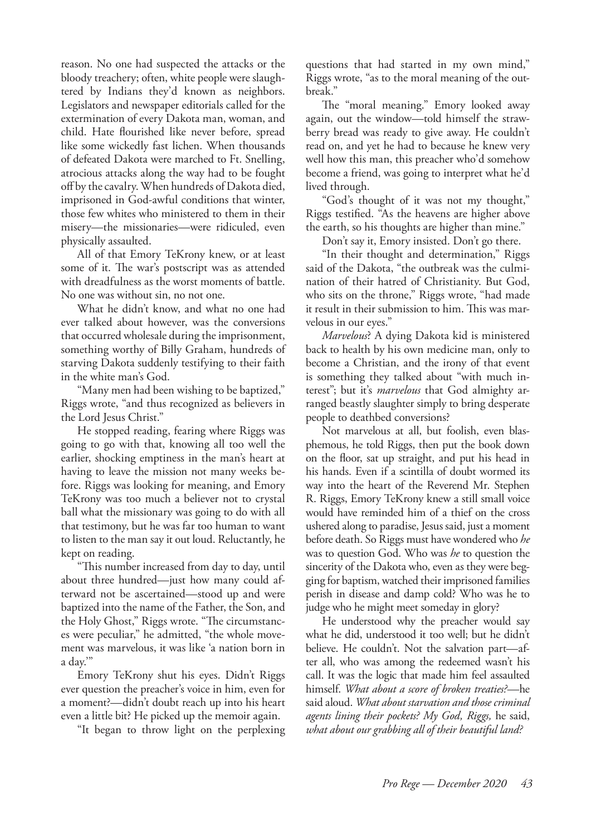reason. No one had suspected the attacks or the bloody treachery; often, white people were slaughtered by Indians they'd known as neighbors. Legislators and newspaper editorials called for the extermination of every Dakota man, woman, and child. Hate flourished like never before, spread like some wickedly fast lichen. When thousands of defeated Dakota were marched to Ft. Snelling, atrocious attacks along the way had to be fought off by the cavalry. When hundreds of Dakota died, imprisoned in God-awful conditions that winter, those few whites who ministered to them in their misery—the missionaries—were ridiculed, even physically assaulted.

All of that Emory TeKrony knew, or at least some of it. The war's postscript was as attended with dreadfulness as the worst moments of battle. No one was without sin, no not one.

What he didn't know, and what no one had ever talked about however, was the conversions that occurred wholesale during the imprisonment, something worthy of Billy Graham, hundreds of starving Dakota suddenly testifying to their faith in the white man's God.

"Many men had been wishing to be baptized," Riggs wrote, "and thus recognized as believers in the Lord Jesus Christ."

He stopped reading, fearing where Riggs was going to go with that, knowing all too well the earlier, shocking emptiness in the man's heart at having to leave the mission not many weeks before. Riggs was looking for meaning, and Emory TeKrony was too much a believer not to crystal ball what the missionary was going to do with all that testimony, but he was far too human to want to listen to the man say it out loud. Reluctantly, he kept on reading.

"This number increased from day to day, until about three hundred—just how many could afterward not be ascertained—stood up and were baptized into the name of the Father, the Son, and the Holy Ghost," Riggs wrote. "The circumstances were peculiar," he admitted, "the whole movement was marvelous, it was like 'a nation born in a day.'"

Emory TeKrony shut his eyes. Didn't Riggs ever question the preacher's voice in him, even for a moment?—didn't doubt reach up into his heart even a little bit? He picked up the memoir again.

"It began to throw light on the perplexing

questions that had started in my own mind," Riggs wrote, "as to the moral meaning of the outbreak."

The "moral meaning." Emory looked away again, out the window—told himself the strawberry bread was ready to give away. He couldn't read on, and yet he had to because he knew very well how this man, this preacher who'd somehow become a friend, was going to interpret what he'd lived through.

"God's thought of it was not my thought," Riggs testified. "As the heavens are higher above the earth, so his thoughts are higher than mine."

Don't say it, Emory insisted. Don't go there.

"In their thought and determination," Riggs said of the Dakota, "the outbreak was the culmination of their hatred of Christianity. But God, who sits on the throne," Riggs wrote, "had made it result in their submission to him. This was marvelous in our eyes."

*Marvelous*? A dying Dakota kid is ministered back to health by his own medicine man, only to become a Christian, and the irony of that event is something they talked about "with much interest"; but it's *marvelous* that God almighty arranged beastly slaughter simply to bring desperate people to deathbed conversions?

Not marvelous at all, but foolish, even blasphemous, he told Riggs, then put the book down on the floor, sat up straight, and put his head in his hands. Even if a scintilla of doubt wormed its way into the heart of the Reverend Mr. Stephen R. Riggs, Emory TeKrony knew a still small voice would have reminded him of a thief on the cross ushered along to paradise, Jesus said, just a moment before death. So Riggs must have wondered who *he* was to question God. Who was *he* to question the sincerity of the Dakota who, even as they were begging for baptism, watched their imprisoned families perish in disease and damp cold? Who was he to judge who he might meet someday in glory?

He understood why the preacher would say what he did, understood it too well; but he didn't believe. He couldn't. Not the salvation part—after all, who was among the redeemed wasn't his call. It was the logic that made him feel assaulted himself. *What about a score of broken treaties?—*he said aloud. *What about starvation and those criminal agents lining their pockets? My God, Riggs,* he said, *what about our grabbing all of their beautiful land?*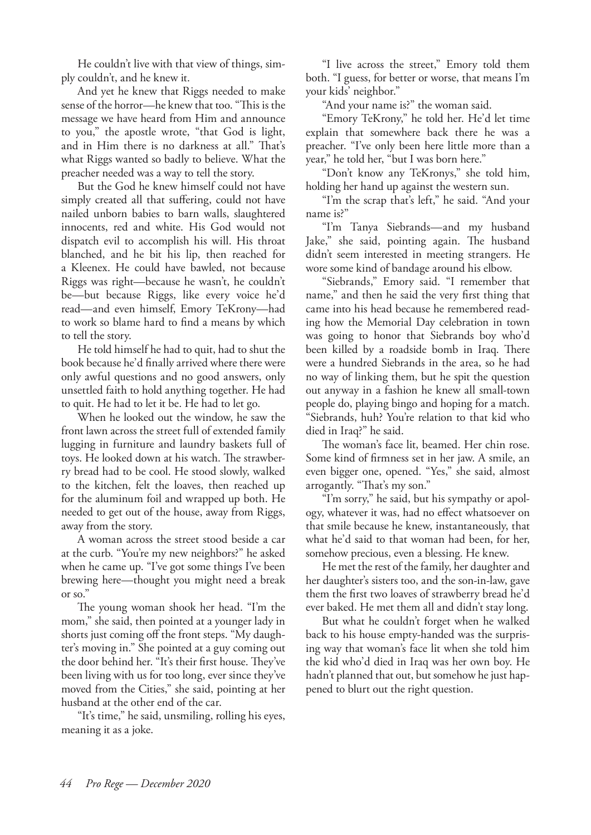He couldn't live with that view of things, simply couldn't, and he knew it.

And yet he knew that Riggs needed to make sense of the horror—he knew that too. "This is the message we have heard from Him and announce to you," the apostle wrote, "that God is light, and in Him there is no darkness at all." That's what Riggs wanted so badly to believe. What the preacher needed was a way to tell the story.

But the God he knew himself could not have simply created all that suffering, could not have nailed unborn babies to barn walls, slaughtered innocents, red and white. His God would not dispatch evil to accomplish his will. His throat blanched, and he bit his lip, then reached for a Kleenex. He could have bawled, not because Riggs was right—because he wasn't, he couldn't be—but because Riggs, like every voice he'd read—and even himself, Emory TeKrony—had to work so blame hard to find a means by which to tell the story.

He told himself he had to quit, had to shut the book because he'd finally arrived where there were only awful questions and no good answers, only unsettled faith to hold anything together. He had to quit. He had to let it be. He had to let go.

When he looked out the window, he saw the front lawn across the street full of extended family lugging in furniture and laundry baskets full of toys. He looked down at his watch. The strawberry bread had to be cool. He stood slowly, walked to the kitchen, felt the loaves, then reached up for the aluminum foil and wrapped up both. He needed to get out of the house, away from Riggs, away from the story.

A woman across the street stood beside a car at the curb. "You're my new neighbors?" he asked when he came up. "I've got some things I've been brewing here—thought you might need a break or so."

The young woman shook her head. "I'm the mom," she said, then pointed at a younger lady in shorts just coming off the front steps. "My daughter's moving in." She pointed at a guy coming out the door behind her. "It's their first house. They've been living with us for too long, ever since they've moved from the Cities," she said, pointing at her husband at the other end of the car.

"It's time," he said, unsmiling, rolling his eyes, meaning it as a joke.

"I live across the street," Emory told them both. "I guess, for better or worse, that means I'm your kids' neighbor."

"And your name is?" the woman said.

"Emory TeKrony," he told her. He'd let time explain that somewhere back there he was a preacher. "I've only been here little more than a year," he told her, "but I was born here."

"Don't know any TeKronys," she told him, holding her hand up against the western sun.

"I'm the scrap that's left," he said. "And your name is?"

"I'm Tanya Siebrands—and my husband Jake," she said, pointing again. The husband didn't seem interested in meeting strangers. He wore some kind of bandage around his elbow.

"Siebrands," Emory said. "I remember that name," and then he said the very first thing that came into his head because he remembered reading how the Memorial Day celebration in town was going to honor that Siebrands boy who'd been killed by a roadside bomb in Iraq. There were a hundred Siebrands in the area, so he had no way of linking them, but he spit the question out anyway in a fashion he knew all small-town people do, playing bingo and hoping for a match. "Siebrands, huh? You're relation to that kid who died in Iraq?" he said.

The woman's face lit, beamed. Her chin rose. Some kind of firmness set in her jaw. A smile, an even bigger one, opened. "Yes," she said, almost arrogantly. "That's my son."

"I'm sorry," he said, but his sympathy or apology, whatever it was, had no effect whatsoever on that smile because he knew, instantaneously, that what he'd said to that woman had been, for her, somehow precious, even a blessing. He knew.

He met the rest of the family, her daughter and her daughter's sisters too, and the son-in-law, gave them the first two loaves of strawberry bread he'd ever baked. He met them all and didn't stay long.

But what he couldn't forget when he walked back to his house empty-handed was the surprising way that woman's face lit when she told him the kid who'd died in Iraq was her own boy. He hadn't planned that out, but somehow he just happened to blurt out the right question.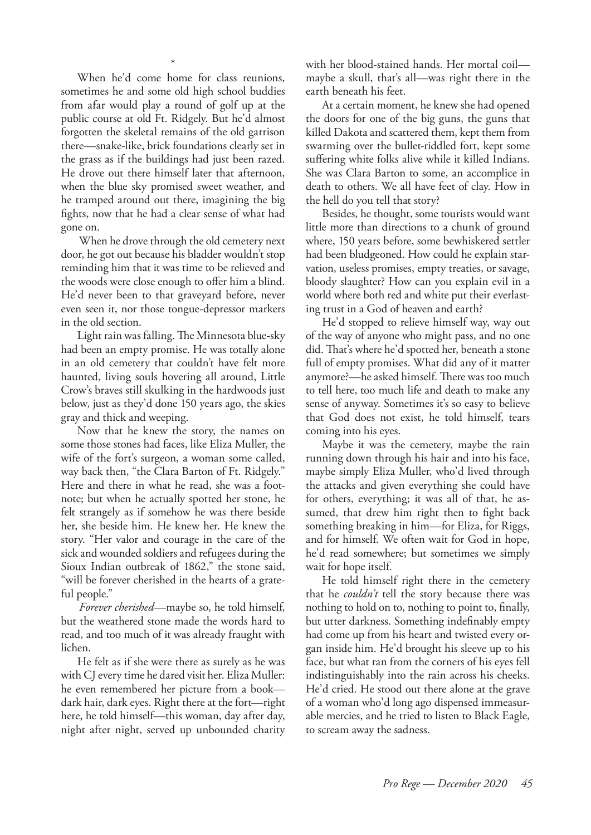\* When he'd come home for class reunions, sometimes he and some old high school buddies from afar would play a round of golf up at the public course at old Ft. Ridgely. But he'd almost forgotten the skeletal remains of the old garrison there—snake-like, brick foundations clearly set in the grass as if the buildings had just been razed. He drove out there himself later that afternoon, when the blue sky promised sweet weather, and he tramped around out there, imagining the big fights, now that he had a clear sense of what had gone on.

When he drove through the old cemetery next door, he got out because his bladder wouldn't stop reminding him that it was time to be relieved and the woods were close enough to offer him a blind. He'd never been to that graveyard before, never even seen it, nor those tongue-depressor markers in the old section.

Light rain was falling. The Minnesota blue-sky had been an empty promise. He was totally alone in an old cemetery that couldn't have felt more haunted, living souls hovering all around, Little Crow's braves still skulking in the hardwoods just below, just as they'd done 150 years ago, the skies gray and thick and weeping.

Now that he knew the story, the names on some those stones had faces, like Eliza Muller, the wife of the fort's surgeon, a woman some called, way back then, "the Clara Barton of Ft. Ridgely." Here and there in what he read, she was a footnote; but when he actually spotted her stone, he felt strangely as if somehow he was there beside her, she beside him. He knew her. He knew the story. "Her valor and courage in the care of the sick and wounded soldiers and refugees during the Sioux Indian outbreak of 1862," the stone said, "will be forever cherished in the hearts of a grateful people."

*Forever cherished*—maybe so, he told himself, but the weathered stone made the words hard to read, and too much of it was already fraught with lichen.

He felt as if she were there as surely as he was with CJ every time he dared visit her. Eliza Muller: he even remembered her picture from a book dark hair, dark eyes. Right there at the fort—right here, he told himself—this woman, day after day, night after night, served up unbounded charity with her blood-stained hands. Her mortal coil maybe a skull, that's all—was right there in the earth beneath his feet.

At a certain moment, he knew she had opened the doors for one of the big guns, the guns that killed Dakota and scattered them, kept them from swarming over the bullet-riddled fort, kept some suffering white folks alive while it killed Indians. She was Clara Barton to some, an accomplice in death to others. We all have feet of clay. How in the hell do you tell that story?

Besides, he thought, some tourists would want little more than directions to a chunk of ground where, 150 years before, some bewhiskered settler had been bludgeoned. How could he explain starvation, useless promises, empty treaties, or savage, bloody slaughter? How can you explain evil in a world where both red and white put their everlasting trust in a God of heaven and earth?

He'd stopped to relieve himself way, way out of the way of anyone who might pass, and no one did. That's where he'd spotted her, beneath a stone full of empty promises. What did any of it matter anymore?—he asked himself. There was too much to tell here, too much life and death to make any sense of anyway. Sometimes it's so easy to believe that God does not exist, he told himself, tears coming into his eyes.

Maybe it was the cemetery, maybe the rain running down through his hair and into his face, maybe simply Eliza Muller, who'd lived through the attacks and given everything she could have for others, everything; it was all of that, he assumed, that drew him right then to fight back something breaking in him—for Eliza, for Riggs, and for himself. We often wait for God in hope, he'd read somewhere; but sometimes we simply wait for hope itself.

He told himself right there in the cemetery that he *couldn't* tell the story because there was nothing to hold on to, nothing to point to, finally, but utter darkness. Something indefinably empty had come up from his heart and twisted every organ inside him. He'd brought his sleeve up to his face, but what ran from the corners of his eyes fell indistinguishably into the rain across his cheeks. He'd cried. He stood out there alone at the grave of a woman who'd long ago dispensed immeasurable mercies, and he tried to listen to Black Eagle, to scream away the sadness.